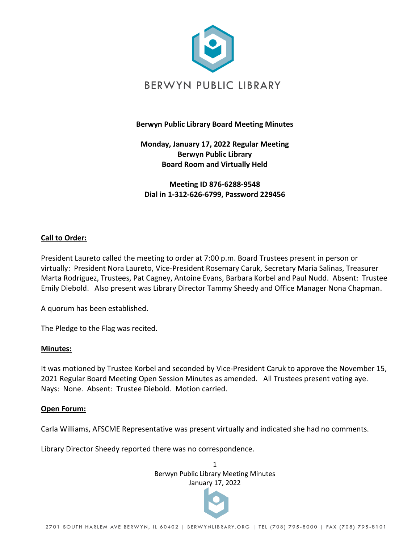

## **Berwyn Public Library Board Meeting Minutes**

**Monday, January 17, 2022 Regular Meeting Berwyn Public Library Board Room and Virtually Held** 

**Meeting ID 876-6288-9548 Dial in 1-312-626-6799, Password 229456**

## **Call to Order:**

President Laureto called the meeting to order at 7:00 p.m. Board Trustees present in person or virtually: President Nora Laureto, Vice-President Rosemary Caruk, Secretary Maria Salinas, Treasurer Marta Rodriguez, Trustees, Pat Cagney, Antoine Evans, Barbara Korbel and Paul Nudd. Absent: Trustee Emily Diebold. Also present was Library Director Tammy Sheedy and Office Manager Nona Chapman.

A quorum has been established.

The Pledge to the Flag was recited.

#### **Minutes:**

It was motioned by Trustee Korbel and seconded by Vice-President Caruk to approve the November 15, 2021 Regular Board Meeting Open Session Minutes as amended. All Trustees present voting aye. Nays: None. Absent: Trustee Diebold. Motion carried.

#### **Open Forum:**

Carla Williams, AFSCME Representative was present virtually and indicated she had no comments.

Library Director Sheedy reported there was no correspondence.

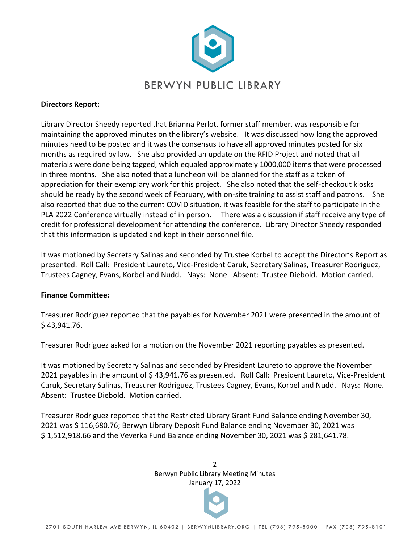

#### **Directors Report:**

Library Director Sheedy reported that Brianna Perlot, former staff member, was responsible for maintaining the approved minutes on the library's website. It was discussed how long the approved minutes need to be posted and it was the consensus to have all approved minutes posted for six months as required by law. She also provided an update on the RFID Project and noted that all materials were done being tagged, which equaled approximately 1000,000 items that were processed in three months. She also noted that a luncheon will be planned for the staff as a token of appreciation for their exemplary work for this project. She also noted that the self-checkout kiosks should be ready by the second week of February, with on-site training to assist staff and patrons. She also reported that due to the current COVID situation, it was feasible for the staff to participate in the PLA 2022 Conference virtually instead of in person. There was a discussion if staff receive any type of credit for professional development for attending the conference. Library Director Sheedy responded that this information is updated and kept in their personnel file.

It was motioned by Secretary Salinas and seconded by Trustee Korbel to accept the Director's Report as presented. Roll Call: President Laureto, Vice-President Caruk, Secretary Salinas, Treasurer Rodriguez, Trustees Cagney, Evans, Korbel and Nudd. Nays: None. Absent: Trustee Diebold. Motion carried.

#### **Finance Committee:**

Treasurer Rodriguez reported that the payables for November 2021 were presented in the amount of \$ 43,941.76.

Treasurer Rodriguez asked for a motion on the November 2021 reporting payables as presented.

It was motioned by Secretary Salinas and seconded by President Laureto to approve the November 2021 payables in the amount of \$ 43,941.76 as presented. Roll Call: President Laureto, Vice-President Caruk, Secretary Salinas, Treasurer Rodriguez, Trustees Cagney, Evans, Korbel and Nudd. Nays: None. Absent: Trustee Diebold. Motion carried.

Treasurer Rodriguez reported that the Restricted Library Grant Fund Balance ending November 30, 2021 was \$ 116,680.76; Berwyn Library Deposit Fund Balance ending November 30, 2021 was \$ 1,512,918.66 and the Veverka Fund Balance ending November 30, 2021 was \$ 281,641.78.

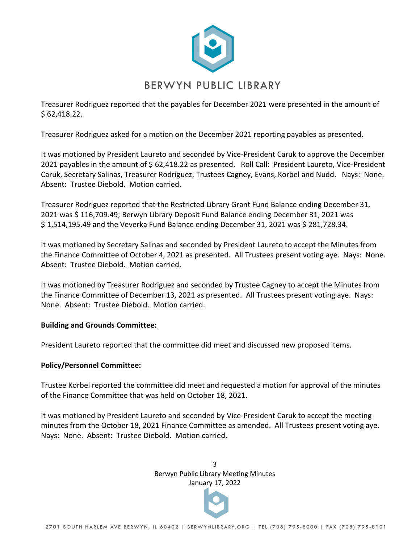

Treasurer Rodriguez reported that the payables for December 2021 were presented in the amount of \$ 62,418.22.

Treasurer Rodriguez asked for a motion on the December 2021 reporting payables as presented.

It was motioned by President Laureto and seconded by Vice-President Caruk to approve the December 2021 payables in the amount of \$ 62,418.22 as presented. Roll Call: President Laureto, Vice-President Caruk, Secretary Salinas, Treasurer Rodriguez, Trustees Cagney, Evans, Korbel and Nudd. Nays: None. Absent: Trustee Diebold. Motion carried.

Treasurer Rodriguez reported that the Restricted Library Grant Fund Balance ending December 31, 2021 was \$ 116,709.49; Berwyn Library Deposit Fund Balance ending December 31, 2021 was \$ 1,514,195.49 and the Veverka Fund Balance ending December 31, 2021 was \$ 281,728.34.

It was motioned by Secretary Salinas and seconded by President Laureto to accept the Minutes from the Finance Committee of October 4, 2021 as presented. All Trustees present voting aye. Nays: None. Absent: Trustee Diebold. Motion carried.

It was motioned by Treasurer Rodriguez and seconded by Trustee Cagney to accept the Minutes from the Finance Committee of December 13, 2021 as presented. All Trustees present voting aye. Nays: None. Absent: Trustee Diebold. Motion carried.

## **Building and Grounds Committee:**

President Laureto reported that the committee did meet and discussed new proposed items.

## **Policy/Personnel Committee:**

Trustee Korbel reported the committee did meet and requested a motion for approval of the minutes of the Finance Committee that was held on October 18, 2021.

It was motioned by President Laureto and seconded by Vice-President Caruk to accept the meeting minutes from the October 18, 2021 Finance Committee as amended. All Trustees present voting aye. Nays: None. Absent: Trustee Diebold. Motion carried.

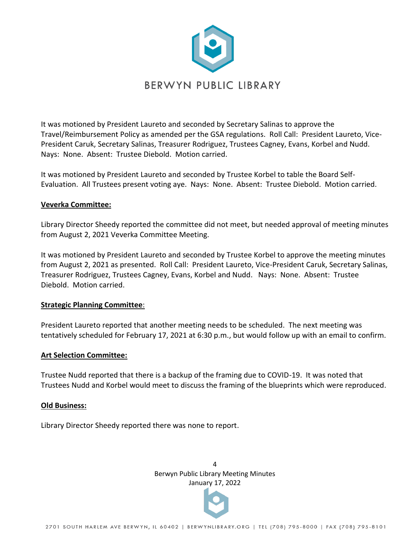

It was motioned by President Laureto and seconded by Secretary Salinas to approve the Travel/Reimbursement Policy as amended per the GSA regulations. Roll Call: President Laureto, Vice-President Caruk, Secretary Salinas, Treasurer Rodriguez, Trustees Cagney, Evans, Korbel and Nudd. Nays: None. Absent: Trustee Diebold. Motion carried.

It was motioned by President Laureto and seconded by Trustee Korbel to table the Board Self-Evaluation. All Trustees present voting aye. Nays: None. Absent: Trustee Diebold. Motion carried.

## **Veverka Committee:**

Library Director Sheedy reported the committee did not meet, but needed approval of meeting minutes from August 2, 2021 Veverka Committee Meeting.

It was motioned by President Laureto and seconded by Trustee Korbel to approve the meeting minutes from August 2, 2021 as presented. Roll Call: President Laureto, Vice-President Caruk, Secretary Salinas, Treasurer Rodriguez, Trustees Cagney, Evans, Korbel and Nudd. Nays: None. Absent: Trustee Diebold. Motion carried.

## **Strategic Planning Committee**:

President Laureto reported that another meeting needs to be scheduled. The next meeting was tentatively scheduled for February 17, 2021 at 6:30 p.m., but would follow up with an email to confirm.

#### **Art Selection Committee:**

Trustee Nudd reported that there is a backup of the framing due to COVID-19. It was noted that Trustees Nudd and Korbel would meet to discuss the framing of the blueprints which were reproduced.

#### **Old Business:**

Library Director Sheedy reported there was none to report.

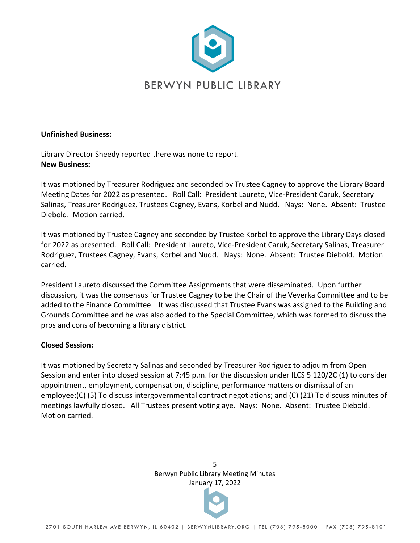

#### **Unfinished Business:**

Library Director Sheedy reported there was none to report. **New Business:**

It was motioned by Treasurer Rodriguez and seconded by Trustee Cagney to approve the Library Board Meeting Dates for 2022 as presented. Roll Call: President Laureto, Vice-President Caruk, Secretary Salinas, Treasurer Rodriguez, Trustees Cagney, Evans, Korbel and Nudd. Nays: None. Absent: Trustee Diebold. Motion carried.

It was motioned by Trustee Cagney and seconded by Trustee Korbel to approve the Library Days closed for 2022 as presented. Roll Call: President Laureto, Vice-President Caruk, Secretary Salinas, Treasurer Rodriguez, Trustees Cagney, Evans, Korbel and Nudd. Nays: None. Absent: Trustee Diebold. Motion carried.

President Laureto discussed the Committee Assignments that were disseminated. Upon further discussion, it was the consensus for Trustee Cagney to be the Chair of the Veverka Committee and to be added to the Finance Committee. It was discussed that Trustee Evans was assigned to the Building and Grounds Committee and he was also added to the Special Committee, which was formed to discuss the pros and cons of becoming a library district.

## **Closed Session:**

It was motioned by Secretary Salinas and seconded by Treasurer Rodriguez to adjourn from Open Session and enter into closed session at 7:45 p.m. for the discussion under ILCS 5 120/2C (1) to consider appointment, employment, compensation, discipline, performance matters or dismissal of an employee;(C) (5) To discuss intergovernmental contract negotiations; and (C) (21) To discuss minutes of meetings lawfully closed. All Trustees present voting aye. Nays: None. Absent: Trustee Diebold. Motion carried.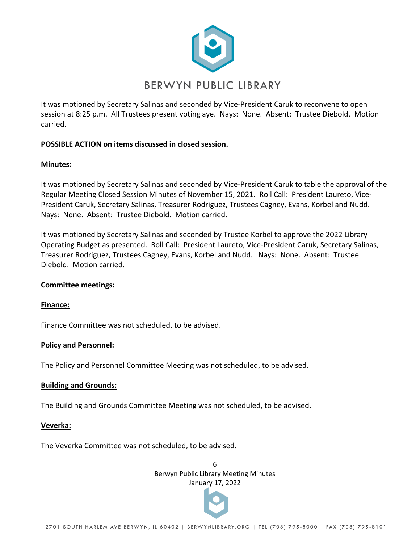

It was motioned by Secretary Salinas and seconded by Vice-President Caruk to reconvene to open session at 8:25 p.m. All Trustees present voting aye. Nays: None. Absent: Trustee Diebold. Motion carried.

# **POSSIBLE ACTION on items discussed in closed session.**

## **Minutes:**

It was motioned by Secretary Salinas and seconded by Vice-President Caruk to table the approval of the Regular Meeting Closed Session Minutes of November 15, 2021. Roll Call: President Laureto, Vice-President Caruk, Secretary Salinas, Treasurer Rodriguez, Trustees Cagney, Evans, Korbel and Nudd. Nays: None. Absent: Trustee Diebold. Motion carried.

It was motioned by Secretary Salinas and seconded by Trustee Korbel to approve the 2022 Library Operating Budget as presented. Roll Call: President Laureto, Vice-President Caruk, Secretary Salinas, Treasurer Rodriguez, Trustees Cagney, Evans, Korbel and Nudd. Nays: None. Absent: Trustee Diebold. Motion carried.

## **Committee meetings:**

## **Finance:**

Finance Committee was not scheduled, to be advised.

## **Policy and Personnel:**

The Policy and Personnel Committee Meeting was not scheduled, to be advised.

## **Building and Grounds:**

The Building and Grounds Committee Meeting was not scheduled, to be advised.

## **Veverka:**

The Veverka Committee was not scheduled, to be advised.